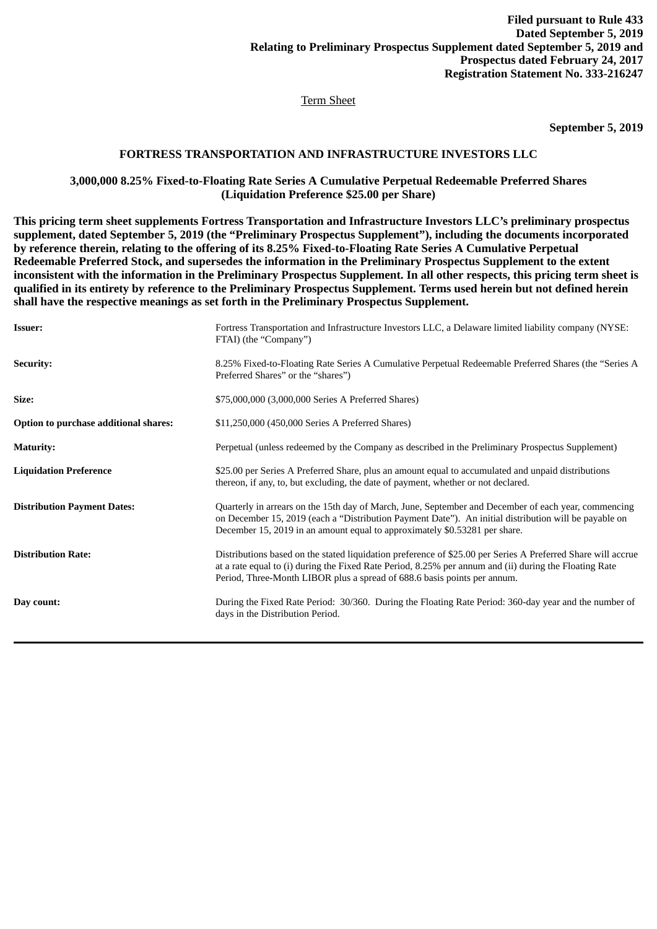## Term Sheet

# **September 5, 2019**

# **FORTRESS TRANSPORTATION AND INFRASTRUCTURE INVESTORS LLC**

#### **3,000,000 8.25% Fixed-to-Floating Rate Series A Cumulative Perpetual Redeemable Preferred Shares (Liquidation Preference \$25.00 per Share)**

**This pricing term sheet supplements Fortress Transportation and Infrastructure Investors LLC's preliminary prospectus supplement, dated September 5, 2019 (the "Preliminary Prospectus Supplement"), including the documents incorporated by reference therein, relating to the offering of its 8.25% Fixed-to-Floating Rate Series A Cumulative Perpetual Redeemable Preferred Stock, and supersedes the information in the Preliminary Prospectus Supplement to the extent inconsistent with the information in the Preliminary Prospectus Supplement. In all other respects, this pricing term sheet is qualified in its entirety by reference to the Preliminary Prospectus Supplement. Terms used herein but not defined herein shall have the respective meanings as set forth in the Preliminary Prospectus Supplement.**

| <b>Issuer:</b>                        | Fortress Transportation and Infrastructure Investors LLC, a Delaware limited liability company (NYSE:<br>FTAI) (the "Company")                                                                                                                                                                     |
|---------------------------------------|----------------------------------------------------------------------------------------------------------------------------------------------------------------------------------------------------------------------------------------------------------------------------------------------------|
| <b>Security:</b>                      | 8.25% Fixed-to-Floating Rate Series A Cumulative Perpetual Redeemable Preferred Shares (the "Series A<br>Preferred Shares" or the "shares")                                                                                                                                                        |
| Size:                                 | \$75,000,000 (3,000,000 Series A Preferred Shares)                                                                                                                                                                                                                                                 |
| Option to purchase additional shares: | \$11,250,000 (450,000 Series A Preferred Shares)                                                                                                                                                                                                                                                   |
| <b>Maturity:</b>                      | Perpetual (unless redeemed by the Company as described in the Preliminary Prospectus Supplement)                                                                                                                                                                                                   |
| <b>Liquidation Preference</b>         | \$25.00 per Series A Preferred Share, plus an amount equal to accumulated and unpaid distributions<br>thereon, if any, to, but excluding, the date of payment, whether or not declared.                                                                                                            |
| <b>Distribution Payment Dates:</b>    | Quarterly in arrears on the 15th day of March, June, September and December of each year, commencing<br>on December 15, 2019 (each a "Distribution Payment Date"). An initial distribution will be payable on<br>December 15, 2019 in an amount equal to approximately \$0.53281 per share.        |
| <b>Distribution Rate:</b>             | Distributions based on the stated liquidation preference of \$25.00 per Series A Preferred Share will accrue<br>at a rate equal to (i) during the Fixed Rate Period, 8.25% per annum and (ii) during the Floating Rate<br>Period, Three-Month LIBOR plus a spread of 688.6 basis points per annum. |
| Day count:                            | During the Fixed Rate Period: 30/360. During the Floating Rate Period: 360-day year and the number of<br>days in the Distribution Period.                                                                                                                                                          |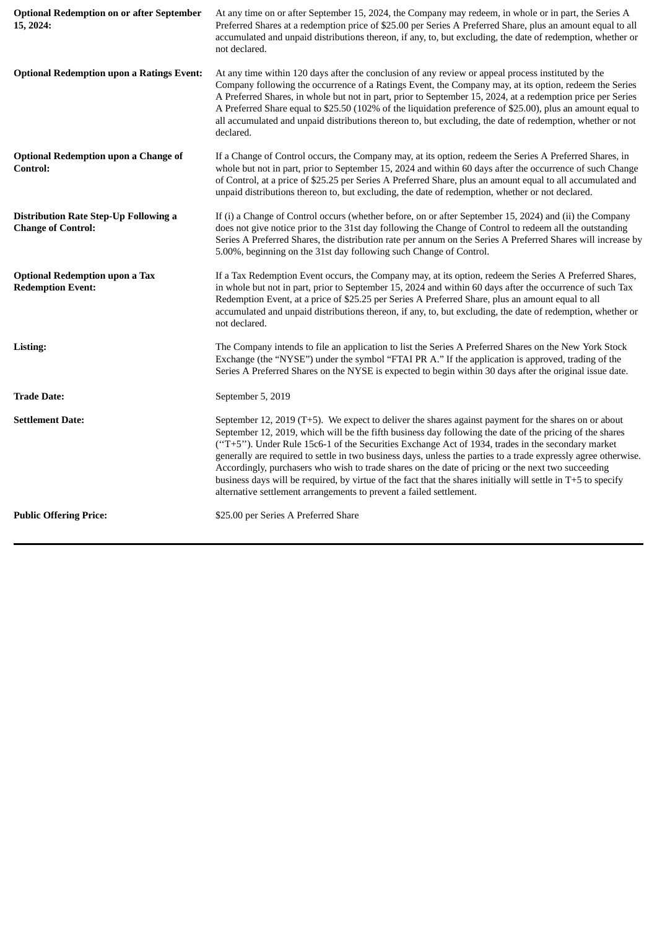| <b>Optional Redemption on or after September</b><br>15, 2024:             | At any time on or after September 15, 2024, the Company may redeem, in whole or in part, the Series A<br>Preferred Shares at a redemption price of \$25.00 per Series A Preferred Share, plus an amount equal to all<br>accumulated and unpaid distributions thereon, if any, to, but excluding, the date of redemption, whether or<br>not declared.                                                                                                                                                                                                                                                                                                                                                                                   |  |
|---------------------------------------------------------------------------|----------------------------------------------------------------------------------------------------------------------------------------------------------------------------------------------------------------------------------------------------------------------------------------------------------------------------------------------------------------------------------------------------------------------------------------------------------------------------------------------------------------------------------------------------------------------------------------------------------------------------------------------------------------------------------------------------------------------------------------|--|
| <b>Optional Redemption upon a Ratings Event:</b>                          | At any time within 120 days after the conclusion of any review or appeal process instituted by the<br>Company following the occurrence of a Ratings Event, the Company may, at its option, redeem the Series<br>A Preferred Shares, in whole but not in part, prior to September 15, 2024, at a redemption price per Series<br>A Preferred Share equal to \$25.50 (102% of the liquidation preference of \$25.00), plus an amount equal to<br>all accumulated and unpaid distributions thereon to, but excluding, the date of redemption, whether or not<br>declared.                                                                                                                                                                  |  |
| <b>Optional Redemption upon a Change of</b><br>Control:                   | If a Change of Control occurs, the Company may, at its option, redeem the Series A Preferred Shares, in<br>whole but not in part, prior to September 15, 2024 and within 60 days after the occurrence of such Change<br>of Control, at a price of \$25.25 per Series A Preferred Share, plus an amount equal to all accumulated and<br>unpaid distributions thereon to, but excluding, the date of redemption, whether or not declared.                                                                                                                                                                                                                                                                                                |  |
| <b>Distribution Rate Step-Up Following a</b><br><b>Change of Control:</b> | If (i) a Change of Control occurs (whether before, on or after September 15, 2024) and (ii) the Company<br>does not give notice prior to the 31st day following the Change of Control to redeem all the outstanding<br>Series A Preferred Shares, the distribution rate per annum on the Series A Preferred Shares will increase by<br>5.00%, beginning on the 31st day following such Change of Control.                                                                                                                                                                                                                                                                                                                              |  |
| <b>Optional Redemption upon a Tax</b><br><b>Redemption Event:</b>         | If a Tax Redemption Event occurs, the Company may, at its option, redeem the Series A Preferred Shares,<br>in whole but not in part, prior to September 15, 2024 and within 60 days after the occurrence of such Tax<br>Redemption Event, at a price of \$25.25 per Series A Preferred Share, plus an amount equal to all<br>accumulated and unpaid distributions thereon, if any, to, but excluding, the date of redemption, whether or<br>not declared.                                                                                                                                                                                                                                                                              |  |
| Listing:                                                                  | The Company intends to file an application to list the Series A Preferred Shares on the New York Stock<br>Exchange (the "NYSE") under the symbol "FTAI PR A." If the application is approved, trading of the<br>Series A Preferred Shares on the NYSE is expected to begin within 30 days after the original issue date.                                                                                                                                                                                                                                                                                                                                                                                                               |  |
| <b>Trade Date:</b>                                                        | September 5, 2019                                                                                                                                                                                                                                                                                                                                                                                                                                                                                                                                                                                                                                                                                                                      |  |
| <b>Settlement Date:</b>                                                   | September 12, 2019 (T+5). We expect to deliver the shares against payment for the shares on or about<br>September 12, 2019, which will be the fifth business day following the date of the pricing of the shares<br>("T+5"). Under Rule 15c6-1 of the Securities Exchange Act of 1934, trades in the secondary market<br>generally are required to settle in two business days, unless the parties to a trade expressly agree otherwise.<br>Accordingly, purchasers who wish to trade shares on the date of pricing or the next two succeeding<br>business days will be required, by virtue of the fact that the shares initially will settle in T+5 to specify<br>alternative settlement arrangements to prevent a failed settlement. |  |
| <b>Public Offering Price:</b>                                             | \$25.00 per Series A Preferred Share                                                                                                                                                                                                                                                                                                                                                                                                                                                                                                                                                                                                                                                                                                   |  |